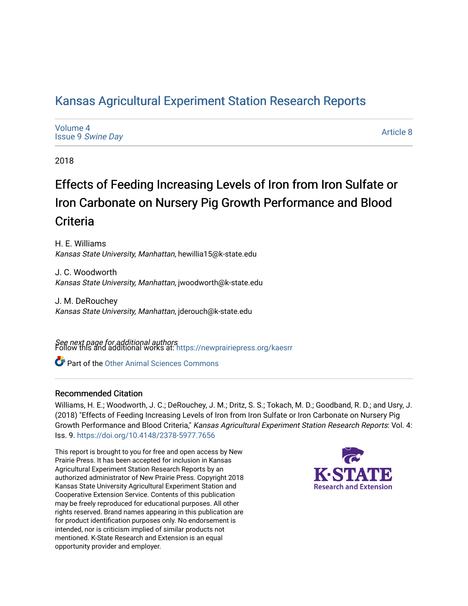## [Kansas Agricultural Experiment Station Research Reports](https://newprairiepress.org/kaesrr)

| Volume 4                 |  |
|--------------------------|--|
| <b>Issue 9 Swine Day</b> |  |

[Article 8](https://newprairiepress.org/kaesrr/vol4/iss9/8) 

2018

## Effects of Feeding Increasing Levels of Iron from Iron Sulfate or Iron Carbonate on Nursery Pig Growth Performance and Blood **Criteria**

H. E. Williams Kansas State University, Manhattan, hewillia15@k-state.edu

J. C. Woodworth Kansas State University, Manhattan, jwoodworth@k-state.edu

J. M. DeRouchey Kansas State University, Manhattan, jderouch@k-state.edu

**See next page for additional authors**<br>Follow this and additional works at: https://newprairiepress.org/kaesrr

Part of the [Other Animal Sciences Commons](http://network.bepress.com/hgg/discipline/82?utm_source=newprairiepress.org%2Fkaesrr%2Fvol4%2Fiss9%2F8&utm_medium=PDF&utm_campaign=PDFCoverPages)

#### Recommended Citation

Williams, H. E.; Woodworth, J. C.; DeRouchey, J. M.; Dritz, S. S.; Tokach, M. D.; Goodband, R. D.; and Usry, J. (2018) "Effects of Feeding Increasing Levels of Iron from Iron Sulfate or Iron Carbonate on Nursery Pig Growth Performance and Blood Criteria," Kansas Agricultural Experiment Station Research Reports: Vol. 4: Iss. 9. <https://doi.org/10.4148/2378-5977.7656>

This report is brought to you for free and open access by New Prairie Press. It has been accepted for inclusion in Kansas Agricultural Experiment Station Research Reports by an authorized administrator of New Prairie Press. Copyright 2018 Kansas State University Agricultural Experiment Station and Cooperative Extension Service. Contents of this publication may be freely reproduced for educational purposes. All other rights reserved. Brand names appearing in this publication are for product identification purposes only. No endorsement is intended, nor is criticism implied of similar products not mentioned. K-State Research and Extension is an equal opportunity provider and employer.

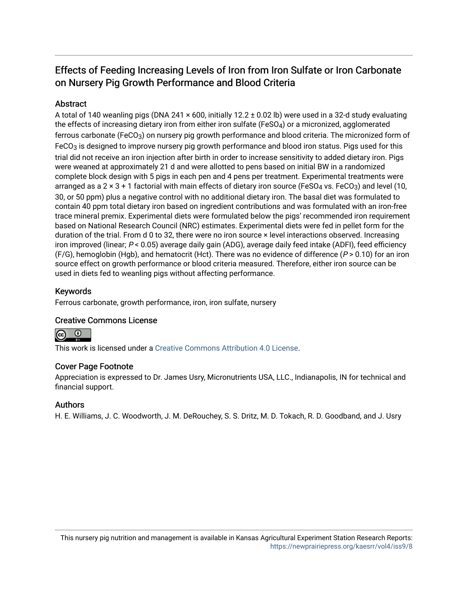## Effects of Feeding Increasing Levels of Iron from Iron Sulfate or Iron Carbonate on Nursery Pig Growth Performance and Blood Criteria

#### Abstract

A total of 140 weanling pigs (DNA 241 × 600, initially 12.2 ± 0.02 lb) were used in a 32-d study evaluating the effects of increasing dietary iron from either iron sulfate (FeSO4) or a micronized, agglomerated ferrous carbonate (FeCO3) on nursery pig growth performance and blood criteria. The micronized form of FeCO<sub>3</sub> is designed to improve nursery pig growth performance and blood iron status. Pigs used for this trial did not receive an iron injection after birth in order to increase sensitivity to added dietary iron. Pigs were weaned at approximately 21 d and were allotted to pens based on initial BW in a randomized complete block design with 5 pigs in each pen and 4 pens per treatment. Experimental treatments were arranged as a  $2 \times 3 + 1$  factorial with main effects of dietary iron source (FeSO<sub>4</sub> vs. FeCO<sub>3</sub>) and level (10, 30, or 50 ppm) plus a negative control with no additional dietary iron. The basal diet was formulated to contain 40 ppm total dietary iron based on ingredient contributions and was formulated with an iron-free trace mineral premix. Experimental diets were formulated below the pigs' recommended iron requirement based on National Research Council (NRC) estimates. Experimental diets were fed in pellet form for the duration of the trial. From d 0 to 32, there were no iron source × level interactions observed. Increasing iron improved (linear; P < 0.05) average daily gain (ADG), average daily feed intake (ADFI), feed efficiency (F/G), hemoglobin (Hgb), and hematocrit (Hct). There was no evidence of difference ( $P > 0.10$ ) for an iron source effect on growth performance or blood criteria measured. Therefore, either iron source can be used in diets fed to weanling pigs without affecting performance.

#### Keywords

Ferrous carbonate, growth performance, iron, iron sulfate, nursery

#### Creative Commons License



This work is licensed under a [Creative Commons Attribution 4.0 License](https://creativecommons.org/licenses/by/4.0/).

#### Cover Page Footnote

Appreciation is expressed to Dr. James Usry, Micronutrients USA, LLC., Indianapolis, IN for technical and financial support.

#### Authors

H. E. Williams, J. C. Woodworth, J. M. DeRouchey, S. S. Dritz, M. D. Tokach, R. D. Goodband, and J. Usry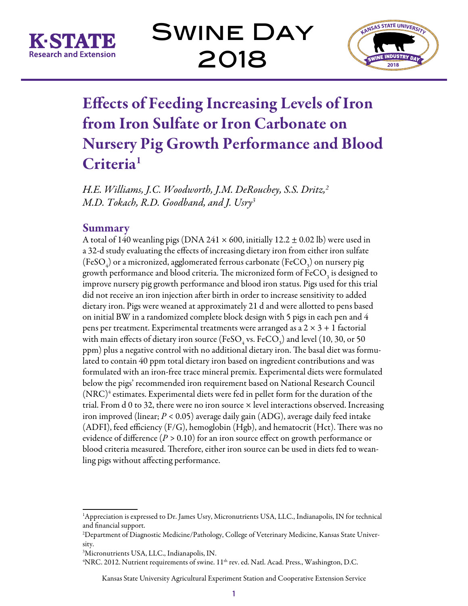

Swine Day 2018



# Effects of Feeding Increasing Levels of Iron from Iron Sulfate or Iron Carbonate on Nursery Pig Growth Performance and Blood Criteria<sup>1</sup>

*H.E. Williams, J.C. Woodworth, J.M. DeRouchey, S.S. Dritz,2 M.D. Tokach, R.D. Goodband, and J. Usry3*

### Summary

A total of 140 weanling pigs (DNA  $241 \times 600$ , initially 12.2  $\pm$  0.02 lb) were used in a 32-d study evaluating the effects of increasing dietary iron from either iron sulfate (FeSO $_{\!4}^{}$ ) or a micronized, agglomerated ferrous carbonate (FeCO $_{\rm 3}^{}$ ) on nursery pig growth performance and blood criteria. The micronized form of  $\text{FeCO}_\text{3}$  is designed to improve nursery pig growth performance and blood iron status. Pigs used for this trial did not receive an iron injection after birth in order to increase sensitivity to added dietary iron. Pigs were weaned at approximately 21 d and were allotted to pens based on initial BW in a randomized complete block design with 5 pigs in each pen and 4 pens per treatment. Experimental treatments were arranged as a  $2 \times 3 + 1$  factorial with main effects of dietary iron source (FeSO<sub>4</sub> vs. FeCO<sub>3</sub>) and level (10, 30, or 50 ppm) plus a negative control with no additional dietary iron. The basal diet was formulated to contain 40 ppm total dietary iron based on ingredient contributions and was formulated with an iron-free trace mineral premix. Experimental diets were formulated below the pigs' recommended iron requirement based on National Research Council  $(\mathrm{NRC})^4$  estimates. Experimental diets were fed in pellet form for the duration of the trial. From  $d$  0 to 32, there were no iron source  $\times$  level interactions observed. Increasing iron improved (linear; *P <* 0.05) average daily gain (ADG), average daily feed intake (ADFI), feed efficiency (F/G), hemoglobin (Hgb), and hematocrit (Hct). There was no evidence of difference (*P >* 0.10) for an iron source effect on growth performance or blood criteria measured. Therefore, either iron source can be used in diets fed to weanling pigs without affecting performance.

<sup>4</sup>NRC. 2012. Nutrient requirements of swine. 11<sup>th</sup> rev. ed. Natl. Acad. Press., Washington, D.C.

Kansas State University Agricultural Experiment Station and Cooperative Extension Service

<sup>1</sup> Appreciation is expressed to Dr. James Usry, Micronutrients USA, LLC., Indianapolis, IN for technical and financial support.

<sup>2</sup> Department of Diagnostic Medicine/Pathology, College of Veterinary Medicine, Kansas State University.

<sup>3</sup> Micronutrients USA, LLC., Indianapolis, IN.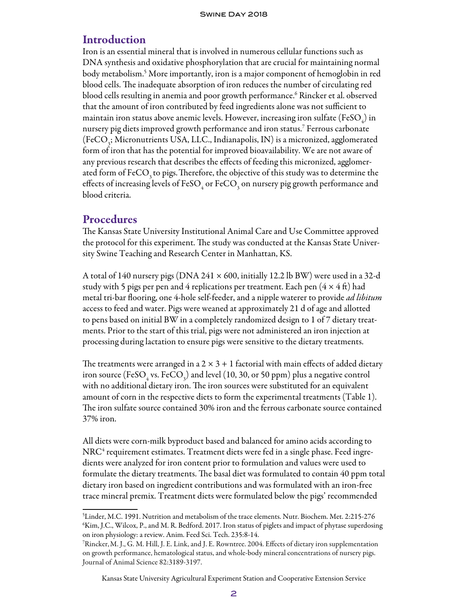#### Introduction

Iron is an essential mineral that is involved in numerous cellular functions such as DNA synthesis and oxidative phosphorylation that are crucial for maintaining normal body metabolism.5 More importantly, iron is a major component of hemoglobin in red blood cells. The inadequate absorption of iron reduces the number of circulating red blood cells resulting in anemia and poor growth performance.6 Rincker et al. observed that the amount of iron contributed by feed ingredients alone was not sufficient to maintain iron status above anemic levels. However, increasing iron sulfate (FeSO $_{\!{}_4}$ ) in nursery pig diets improved growth performance and iron status.7 Ferrous carbonate (FeCO<sub>3</sub>; Micronutrients USA, LLC., Indianapolis, IN) is a micronized, agglomerated form of iron that has the potential for improved bioavailability. We are not aware of any previous research that describes the effects of feeding this micronized, agglomerated form of FeCO<sub>3</sub> to pigs. Therefore, the objective of this study was to determine the effects of increasing levels of FeSO<sub>4</sub> or FeCO<sub>3</sub> on nursery pig growth performance and blood criteria.

#### **Procedures**

The Kansas State University Institutional Animal Care and Use Committee approved the protocol for this experiment. The study was conducted at the Kansas State University Swine Teaching and Research Center in Manhattan, KS.

A total of 140 nursery pigs (DNA  $241 \times 600$ , initially 12.2 lb BW) were used in a 32-d study with 5 pigs per pen and 4 replications per treatment. Each pen  $(4 \times 4 \text{ ft})$  had metal tri-bar flooring, one 4-hole self-feeder, and a nipple waterer to provide *ad libitum* access to feed and water. Pigs were weaned at approximately 21 d of age and allotted to pens based on initial BW in a completely randomized design to 1 of 7 dietary treatments. Prior to the start of this trial, pigs were not administered an iron injection at processing during lactation to ensure pigs were sensitive to the dietary treatments.

The treatments were arranged in a  $2 \times 3 + 1$  factorial with main effects of added dietary iron source (FeSO<sub>4</sub> vs. FeCO<sub>3</sub>) and level (10, 30, or 50 ppm) plus a negative control with no additional dietary iron. The iron sources were substituted for an equivalent amount of corn in the respective diets to form the experimental treatments (Table 1). The iron sulfate source contained 30% iron and the ferrous carbonate source contained 37% iron.

All diets were corn-milk byproduct based and balanced for amino acids according to  $\rm NRC^4$  requirement estimates. Treatment diets were fed in a single phase. Feed ingredients were analyzed for iron content prior to formulation and values were used to formulate the dietary treatments. The basal diet was formulated to contain 40 ppm total dietary iron based on ingredient contributions and was formulated with an iron-free trace mineral premix. Treatment diets were formulated below the pigs' recommended

Kansas State University Agricultural Experiment Station and Cooperative Extension Service

<sup>5</sup> Linder, M.C. 1991. Nutrition and metabolism of the trace elements. Nutr. Biochem. Met. 2:215-276 6 Kim, J.C., Wilcox, P., and M. R. Bedford. 2017. Iron status of piglets and impact of phytase superdosing on iron physiology: a review. Anim. Feed Sci. Tech. 235:8-14.

<sup>7</sup> Rincker,M. J., G. M. Hill, J. E. Link, and J. E. Rowntree. 2004. Effects of dietary iron supplementation on growth performance, hematological status, and whole-body mineral concentrations of nursery pigs. Journal of Animal Science 82:3189-3197.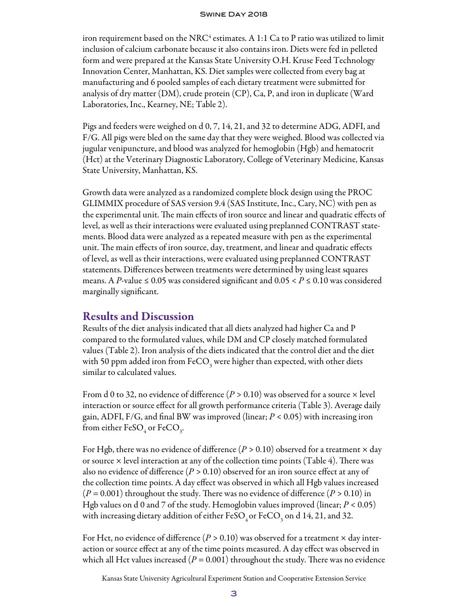#### Swine Day 2018

iron requirement based on the NRC<sup>4</sup> estimates. A 1:1 Ca to P ratio was utilized to limit inclusion of calcium carbonate because it also contains iron. Diets were fed in pelleted form and were prepared at the Kansas State University O.H. Kruse Feed Technology Innovation Center, Manhattan, KS. Diet samples were collected from every bag at manufacturing and 6 pooled samples of each dietary treatment were submitted for analysis of dry matter (DM), crude protein (CP), Ca, P, and iron in duplicate (Ward Laboratories, Inc., Kearney, NE; Table 2).

Pigs and feeders were weighed on d 0, 7, 14, 21, and 32 to determine ADG, ADFI, and F/G. All pigs were bled on the same day that they were weighed. Blood was collected via jugular venipuncture, and blood was analyzed for hemoglobin (Hgb) and hematocrit (Hct) at the Veterinary Diagnostic Laboratory, College of Veterinary Medicine, Kansas State University, Manhattan, KS.

Growth data were analyzed as a randomized complete block design using the PROC GLIMMIX procedure of SAS version 9.4 (SAS Institute, Inc., Cary, NC) with pen as the experimental unit. The main effects of iron source and linear and quadratic effects of level, as well as their interactions were evaluated using preplanned CONTRAST statements. Blood data were analyzed as a repeated measure with pen as the experimental unit. The main effects of iron source, day, treatment, and linear and quadratic effects of level, as well as their interactions, were evaluated using preplanned CONTRAST statements. Differences between treatments were determined by using least squares means. A *P*-value ≤ 0.05 was considered significant and 0.05 <  $P$  ≤ 0.10 was considered marginally significant.

#### Results and Discussion

Results of the diet analysis indicated that all diets analyzed had higher Ca and P compared to the formulated values, while DM and CP closely matched formulated values (Table 2). Iron analysis of the diets indicated that the control diet and the diet with 50 ppm added iron from FeCO<sub>3</sub> were higher than expected, with other diets similar to calculated values.

From d 0 to 32, no evidence of difference  $(P > 0.10)$  was observed for a source  $\times$  level interaction or source effect for all growth performance criteria (Table 3). Average daily gain, ADFI, F/G, and final BW was improved (linear; *P <* 0.05) with increasing iron from either FeSO<sub>4</sub> or FeCO<sub>3</sub>.

For Hgb, there was no evidence of difference  $(P > 0.10)$  observed for a treatment  $\times$  day or source  $\times$  level interaction at any of the collection time points (Table 4). There was also no evidence of difference (*P >* 0.10) observed for an iron source effect at any of the collection time points. A day effect was observed in which all Hgb values increased (*P =* 0.001) throughout the study. There was no evidence of difference (*P >* 0.10) in Hgb values on d 0 and 7 of the study. Hemoglobin values improved (linear; *P <* 0.05) with increasing dietary addition of either FeSO<sub>4</sub> or FeCO<sub>3</sub> on d 14, 21, and 32.

For Hct, no evidence of difference  $(P > 0.10)$  was observed for a treatment  $\times$  day interaction or source effect at any of the time points measured. A day effect was observed in which all Hct values increased  $(P = 0.001)$  throughout the study. There was no evidence

Kansas State University Agricultural Experiment Station and Cooperative Extension Service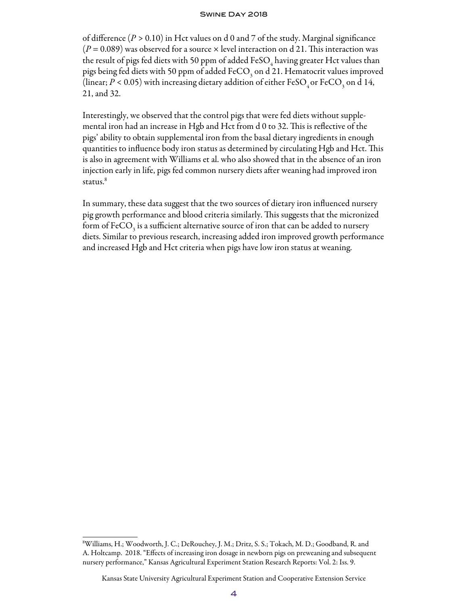#### Swine Day 2018

of difference (*P >* 0.10) in Hct values on d 0 and 7 of the study. Marginal significance  $(P = 0.089)$  was observed for a source  $\times$  level interaction on d 21. This interaction was the result of pigs fed diets with 50 ppm of added FeSO $_{\rm 4}$  having greater Hct values than pigs being fed diets with 50 ppm of added FeCO<sub>3</sub> on d 21. Hematocrit values improved (linear;  $P < 0.05$ ) with increasing dietary addition of either FeSO<sub>4</sub> or FeCO<sub>3</sub> on d 14, 21, and 32.

Interestingly, we observed that the control pigs that were fed diets without supplemental iron had an increase in Hgb and Hct from d 0 to 32. This is reflective of the pigs' ability to obtain supplemental iron from the basal dietary ingredients in enough quantities to influence body iron status as determined by circulating Hgb and Hct. This is also in agreement with Williams et al. who also showed that in the absence of an iron injection early in life, pigs fed common nursery diets after weaning had improved iron status.<sup>8</sup>

In summary, these data suggest that the two sources of dietary iron influenced nursery pig growth performance and blood criteria similarly. This suggests that the micronized form of FeCO<sub>3</sub> is a sufficient alternative source of iron that can be added to nursery diets. Similar to previous research, increasing added iron improved growth performance and increased Hgb and Hct criteria when pigs have low iron status at weaning.

<sup>8</sup> Williams, H.; Woodworth, J. C.; DeRouchey, J. M.; Dritz, S. S.; Tokach, M. D.; Goodband, R. and A. Holtcamp. 2018. "Effects of increasing iron dosage in newborn pigs on preweaning and subsequent nursery performance," Kansas Agricultural Experiment Station Research Reports: Vol. 2: Iss. 9.

Kansas State University Agricultural Experiment Station and Cooperative Extension Service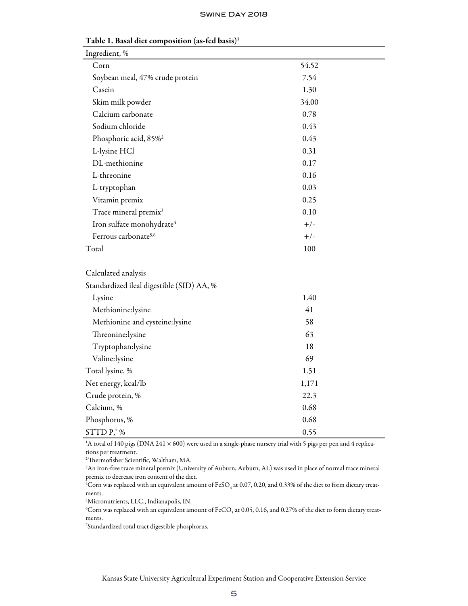| Ingredient, %                             |       |
|-------------------------------------------|-------|
| Corn                                      | 54.52 |
| Soybean meal, 47% crude protein           | 7.54  |
| Casein                                    | 1.30  |
| Skim milk powder                          | 34.00 |
| Calcium carbonate                         | 0.78  |
| Sodium chloride                           | 0.43  |
| Phosphoric acid, 85% <sup>2</sup>         | 0.43  |
| L-lysine HCl                              | 0.31  |
| DL-methionine                             | 0.17  |
| L-threonine                               | 0.16  |
| L-tryptophan                              | 0.03  |
| Vitamin premix                            | 0.25  |
| Trace mineral premix <sup>3</sup>         | 0.10  |
| Iron sulfate monohydrate <sup>4</sup>     | $+/-$ |
| Ferrous carbonate <sup>5,6</sup>          | $+/-$ |
| Total                                     | 100   |
| Calculated analysis                       |       |
| Standardized ileal digestible (SID) AA, % |       |
| Lysine                                    | 1.40  |
| Methionine:lysine                         | 41    |
| Methionine and cysteine:lysine            | 58    |
| Threonine:lysine                          | 63    |
| Tryptophan:lysine                         | 18    |
| Valine:lysine                             | 69    |
| Total lysine, %                           | 1.51  |
| Net energy, kcal/lb                       | 1,171 |
| Crude protein, %                          | 22.3  |
| Calcium, %                                | 0.68  |
| Phosphorus, %                             | 0.68  |
| STTDP,7%                                  | 0.55  |

Table 1. Basal diet composition (as-fed basis)1

<sup>1</sup>A total of 140 pigs (DNA 241 × 600) were used in a single-phase nursery trial with 5 pigs per pen and 4 replications per treatment.

2 Thermofisher Scientific, Waltham, MA.

3 An iron-free trace mineral premix (University of Auburn, Auburn, AL) was used in place of normal trace mineral premix to decrease iron content of the diet.

 $^4$ Corn was replaced with an equivalent amount of FeSO $_4$  at 0.07, 0.20, and 0.33% of the diet to form dietary treatments.

5 Micronutrients, LLC., Indianapolis, IN.

 $^6$ Corn was replaced with an equivalent amount of FeCO<sub>3</sub> at 0.05, 0.16, and 0.27% of the diet to form dietary treatments.

7 Standardized total tract digestible phosphorus.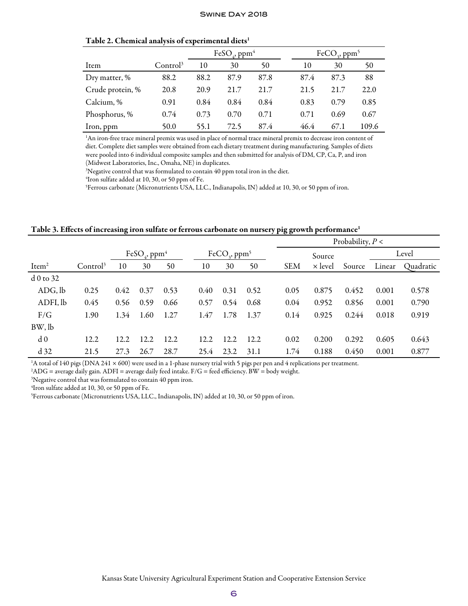|  | Table 2. Chemical analysis of experimental diets <sup>1</sup> |  |
|--|---------------------------------------------------------------|--|
|  |                                                               |  |

|                  |                      |      | $FeSOa$ , ppm <sup>4</sup> |      |      | $FeCO3$ , ppm <sup>5</sup> |       |
|------------------|----------------------|------|----------------------------|------|------|----------------------------|-------|
| Item             | Control <sup>3</sup> | 10   | 30                         | 50   | 10   | 30                         | 50    |
| Dry matter, %    | 88.2                 | 88.2 | 87.9                       | 87.8 | 87.4 | 87.3                       | 88    |
| Crude protein, % | 20.8                 | 20.9 | 21.7                       | 21.7 | 21.5 | 21.7                       | 22.0  |
| Calcium, %       | 0.91                 | 0.84 | 0.84                       | 0.84 | 0.83 | 0.79                       | 0.85  |
| Phosphorus, %    | 0.74                 | 0.73 | 0.70                       | 0.71 | 0.71 | 0.69                       | 0.67  |
| Iron, ppm        | 50.0                 | 55.1 | 72.5                       | 87.4 | 46.4 | 67.1                       | 109.6 |

1 An iron-free trace mineral premix was used in place of normal trace mineral premix to decrease iron content of diet. Complete diet samples were obtained from each dietary treatment during manufacturing. Samples of diets were pooled into 6 individual composite samples and then submitted for analysis of DM, CP, Ca, P, and iron (Midwest Laboratories, Inc., Omaha, NE) in duplicates.

<sup>3</sup>Negative control that was formulated to contain 40 ppm total iron in the diet.

4 Iron sulfate added at 10, 30, or 50 ppm of Fe.

5 Ferrous carbonate (Micronutrients USA, LLC., Indianapolis, IN) added at 10, 30, or 50 ppm of iron.

Table 3. Effects of increasing iron sulfate or ferrous carbonate on nursery pig growth performance<sup>1</sup>

|                   |                      |      |                                      |      |      |                                      |      |  | Probability, $P <$ |                |        |        |           |
|-------------------|----------------------|------|--------------------------------------|------|------|--------------------------------------|------|--|--------------------|----------------|--------|--------|-----------|
|                   |                      |      | FeSO <sub>4</sub> , ppm <sup>4</sup> |      |      | FeCO <sub>2</sub> , ppm <sup>3</sup> |      |  |                    | Source         | Level  |        |           |
| Item <sup>2</sup> | Control <sup>3</sup> | 10   | 30                                   | 50   | 10   | 30                                   | 50   |  | <b>SEM</b>         | $\times$ level | Source | Linear | Quadratic |
| $d0$ to 32        |                      |      |                                      |      |      |                                      |      |  |                    |                |        |        |           |
| ADG, lb           | 0.25                 | 0.42 | 0.37                                 | 0.53 | 0.40 | 0.31                                 | 0.52 |  | 0.05               | 0.875          | 0.452  | 0.001  | 0.578     |
| ADFI, lb          | 0.45                 | 0.56 | 0.59                                 | 0.66 | 0.57 | 0.54                                 | 0.68 |  | 0.04               | 0.952          | 0.856  | 0.001  | 0.790     |
| F/G               | 1.90                 | 1.34 | 1.60                                 | 1.27 | 1.47 | 1.78                                 | 1.37 |  | 0.14               | 0.925          | 0.244  | 0.018  | 0.919     |
| BW, lb            |                      |      |                                      |      |      |                                      |      |  |                    |                |        |        |           |
| d <sub>0</sub>    | 12.2                 | 12.2 | 12.2                                 | 12.2 | 12.2 | 12.2                                 | 12.2 |  | 0.02               | 0.200          | 0.292  | 0.605  | 0.643     |
| d <sub>32</sub>   | 21.5                 | 27.3 | 26.7                                 | 28.7 | 25.4 | 23.2                                 | 31.1 |  | 1.74               | 0.188          | 0.450  | 0.001  | 0.877     |

<sup>1</sup>A total of 140 pigs (DNA 241 × 600) were used in a 1-phase nursery trial with 5 pigs per pen and 4 replications per treatment.

 $\rm {}^{2}\rm{AD}G$  = average daily gain.  $\rm{ADFI}$  = average daily feed intake. F/G = feed efficiency. BW = body weight.

3 Negative control that was formulated to contain 40 ppm iron.

4 Iron sulfate added at 10, 30, or 50 ppm of Fe.

5 Ferrous carbonate (Micronutrients USA, LLC., Indianapolis, IN) added at 10, 30, or 50 ppm of iron.